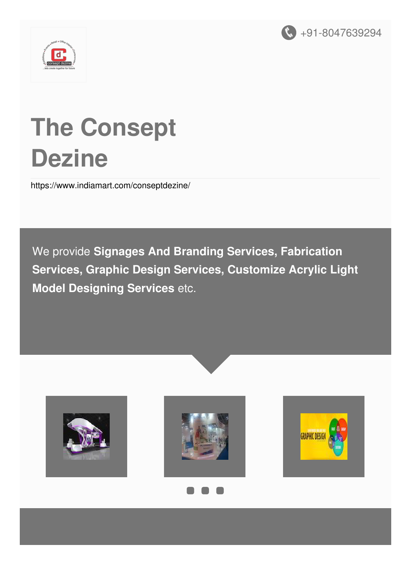



# **The Consept Dezine**

<https://www.indiamart.com/conseptdezine/>

We provide **Signages And Branding Services, Fabrication Services, Graphic Design Services, Customize Acrylic Light Model Designing Services** etc.







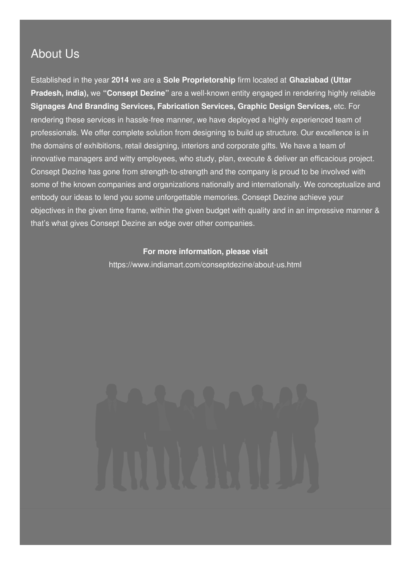### About Us

Established in the year **2014** we are a **Sole Proprietorship** firm located at **Ghaziabad (Uttar Pradesh, india),** we **"Consept Dezine"** are a well-known entity engaged in rendering highly reliable **Signages And Branding Services, Fabrication Services, Graphic Design Services,** etc. For rendering these services in hassle-free manner, we have deployed a highly experienced team of professionals. We offer complete solution from designing to build up structure. Our excellence is in the domains of exhibitions, retail designing, interiors and corporate gifts. We have a team of innovative managers and witty employees, who study, plan, execute & deliver an efficacious project. Consept Dezine has gone from strength-to-strength and the company is proud to be involved with some of the known companies and organizations nationally and internationally. We conceptualize and embody our ideas to lend you some unforgettable memories. Consept Dezine achieve your objectives in the given time frame, within the given budget with quality and in an impressive manner & that's what gives Consept Dezine an edge over other companies.

#### **For more information, please visit**

<https://www.indiamart.com/conseptdezine/about-us.html>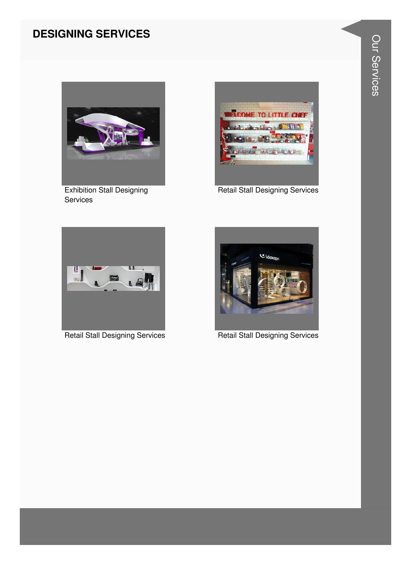#### **DESIGNING SERVICES**



**Exhibition Stall Designing** Services



**Retail Stall Designing Services** 



**Retail Stall Designing Services** 



**Retail Stall Designing Services**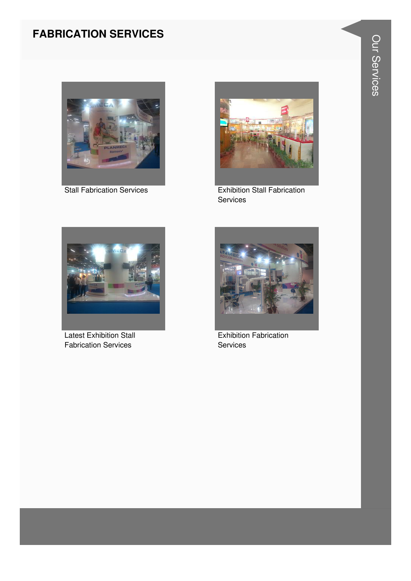#### **FABRICATION SERVICES**





Stall Fabrication Services **Exhibition Stall Fabrication** Services



Latest Exhibition Stall Fabrication Services



Exhibition Fabrication **Services**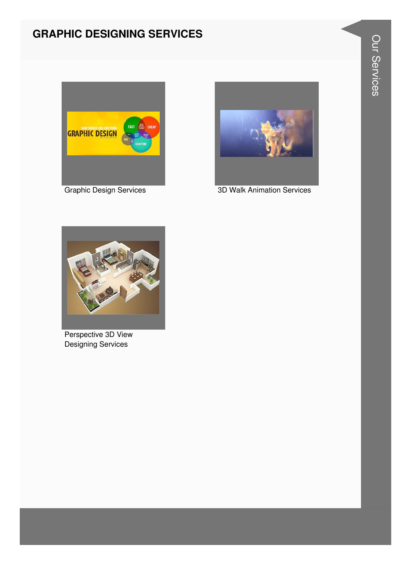#### **GRAPHIC DESIGNING SERVICES**





Graphic Design Services 3D Walk Animation Services



Perspective 3D View Designing Services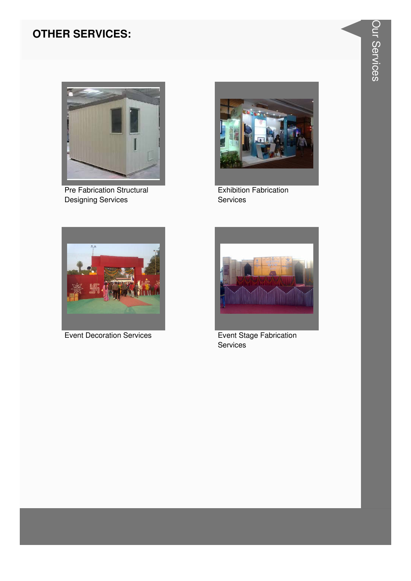#### **OTHER SERVICES:**



Pre Fabrication Structural **Designing Services** 



**Exhibition Fabrication** Services



**Event Decoration Services** 



Event Stage Fabrication Services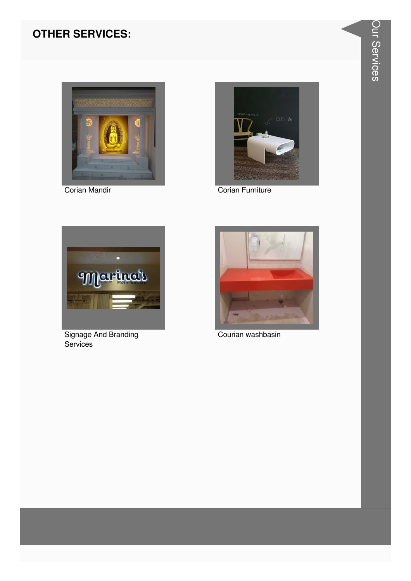#### **OTHER SERVICES:**



Corian Mandir



Corian Furniture



Signage And Branding Services



Courian washbasin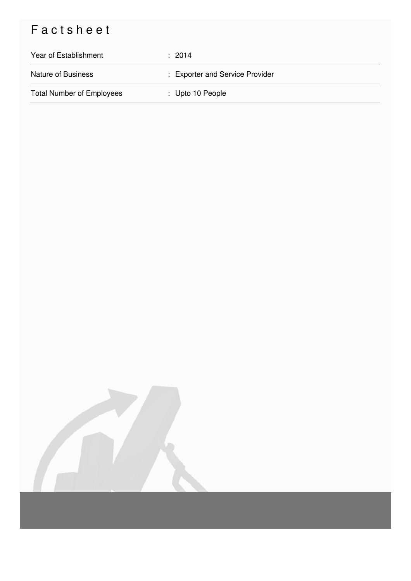## Factsheet

| Year of Establishment            | : 2014                          |
|----------------------------------|---------------------------------|
| <b>Nature of Business</b>        | : Exporter and Service Provider |
| <b>Total Number of Employees</b> | $\therefore$ Upto 10 People     |